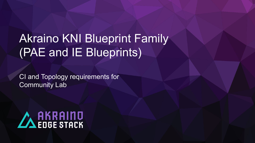# Akraino KNI Blueprint Family (PAE and IE Blueprints)

CI and Topology requirements for Community Lab

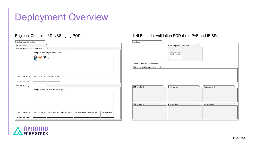### Deployment Overview

| Site: Regional Controller        |                                                                                              |  |  |
|----------------------------------|----------------------------------------------------------------------------------------------|--|--|
| <b>BM: VirtHost</b>              |                                                                                              |  |  |
| Cluster: KNI Regional Controller |                                                                                              |  |  |
|                                  | Blueprint: KNI Regional Controller                                                           |  |  |
|                                  |                                                                                              |  |  |
|                                  |                                                                                              |  |  |
| VM: bootstrap                    | VM: master-0<br>VM: worker-0                                                                 |  |  |
| Cluster: Staging                 |                                                                                              |  |  |
|                                  | Blueprint: KNI Provider Access Edge                                                          |  |  |
|                                  |                                                                                              |  |  |
| VM: bootstrap                    | VM: master-0<br>VM: master-1<br>VM: worker-0<br>VM: master-1<br>VM: worker-2<br>VM: master-2 |  |  |

#### Regional Controller / Dev&Staging POD: KNI Blueprint Validation POD (both PAE and IE BPs):

| Site: Edge                          |                                                       |              |
|-------------------------------------|-------------------------------------------------------|--------------|
|                                     | BM: JumpHost + VirtHost<br>VM: bootstrap<br>--------- |              |
| Cluster: Production / Validation    |                                                       |              |
| Blueprint: KNI Provider Access Edge |                                                       |              |
|                                     |                                                       |              |
| BM: master-0                        | BM: master-1                                          | BM: master-2 |
|                                     |                                                       |              |
| BM: worker-0                        | BM: worker-1                                          | BM: worker-2 |

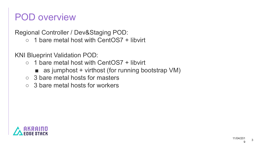#### POD overview

Regional Controller / Dev&Staging POD:  $\circ$  1 bare metal host with CentOS7 + libvirt

KNI Blueprint Validation POD:

- $\circ$  1 bare metal host with CentOS7 + libvirt
	- $\blacksquare$  as jumphost + virthost (for running bootstrap VM)
- 3 bare metal hosts for masters
- 3 bare metal hosts for workers

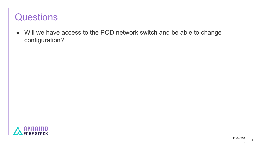#### **Questions**

● Will we have access to the POD network switch and be able to change configuration?

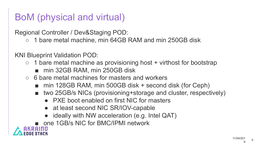# BoM (physical and virtual)

Regional Controller / Dev&Staging POD:

○ 1 bare metal machine, min 64GB RAM and min 250GB disk

KNI Blueprint Validation POD:

- $\circ$  1 bare metal machine as provisioning host + virthost for bootstrap
	- min 32GB RAM, min 250GB disk
- 6 bare metal machines for masters and workers
	- min 128GB RAM, min 500GB disk + second disk (for Ceph)
	- two 25GB/s NICs (provisioning+storage and cluster, respectively)
		- PXE boot enabled on first NIC for masters
		- at least second NIC SR/IOV-capable
		- ideally with NW acceleration (e.g. Intel QAT)

■ one 1GB/s NIC for BMC/IPMI network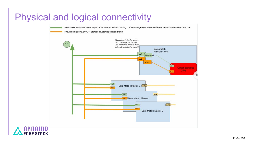#### Physical and logical connectivity



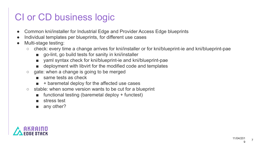### CI or CD business logic

- Common kni/installer for Industrial Edge and Provider Access Edge blueprints
- Individual templates per blueprints, for different use cases
- Multi-stage testing:
	- check: every time a change arrives for kni/installer or for kni/blueprint-ie and kni/blueprint-pae
		- go-lint, go build tests for sanity in kni/installer
		- yaml syntax check for kni/blueprint-ie and kni/blueprint-pae
		- deployment with libvirt for the modified code and templates
	- gate: when a change is going to be merged
		- same tests as check
		- + baremetal deploy for the affected use cases
	- stable: when some version wants to be cut for a blueprint
		- functional testing (baremetal deploy + functest)
		- stress test
		- any other?

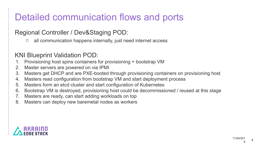# Detailed communication flows and ports

#### Regional Controller / Dev&Staging POD:

○ all communication happens internally, just need internet access

#### KNI Blueprint Validation POD:

- 1. Provisioning host spins containers for provisioning + bootstrap VM
- 2. Master servers are powered on via IPMI
- 3. Masters get DHCP and are PXE-booted through provisioning containers on provisioning host
- 4. Masters read configuration from bootstrap VM and start deployment process
- 5. Masters form an etcd cluster and start configuration of Kubernetes
- 6. Bootstrap VM is destroyed, provisioning host could be decommissioned / reused at this stage
- 7. Masters are ready, can start adding workloads on top
- 8. Masters can deploy new baremetal nodes as workers

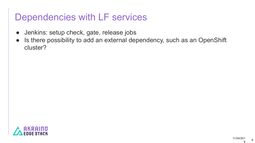#### Dependencies with LF services

- Jenkins: setup check, gate, release jobs
- Is there possibility to add an external dependency, such as an OpenShift cluster?

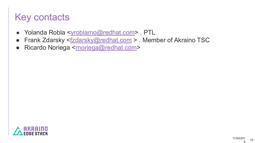# Key contacts

- Yolanda Robla <vroblamo@redhat.com>. PTL
- Frank Zdarsky [<fzdarsky@redhat.com](mailto:fzdarsky@redhat.com) > . Member of Akraino TSC
- Ricardo Noriega <**moriega@redhat.com**>

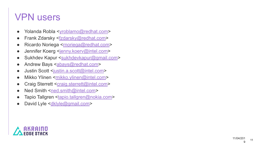#### VPN users

- Yolanda Robla <[yroblamo@redhat.com](mailto:yroblamo@redhat.com)>
- Frank Zdarsky <**fzdarsky@redhat.com>**
- Ricardo Noriega <**moriega@redhat.com>**
- Jennifer Koerg <[jenny.koerv@intel.com](mailto:jenny.koerv@intel.com)>
- Sukhdev Kapur <[sukhdevkapur@gmail.com](mailto:sukhdevkapur@gmail.com)>
- Andrew Bays <**[abays@redhat.com](mailto:abays@redhat.com)>**
- Justin Scott <**[justin.a.scott@intel.com](mailto:justin.a.scott@intel.com)**>
- Mikko Ylinen [<mikko.ylinen@intel.com](mailto:mikko.ylinen@intel.com)>
- Craig Sterrett <[craig.sterrett@intel.com](mailto:craig.sterrett@intel.com)>
- Ned Smith <[ned.smith@intel.com](mailto:ned.smith@intel.com)>
- Tapio Tallgren <**tapio.tallgren@nokia.com>**
- David Lyle <[dklyle@gmail.com](mailto:dklyle@gmail.com)>